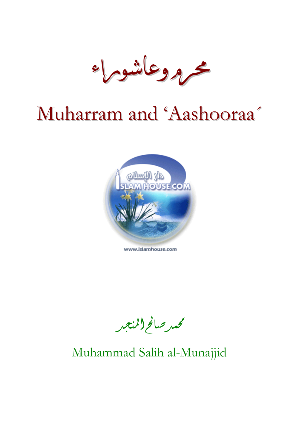

# Muharram and 'Aashooraa´



www.islamhouse.com

محمد صالح(المنجد

# Muhammad Salih al-Munajjid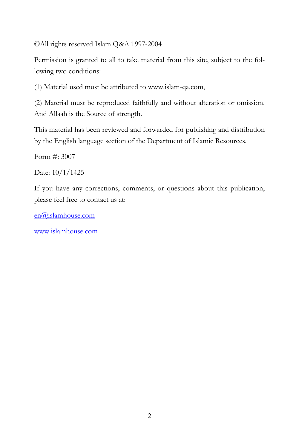©All rights reserved Islam Q&A 1997-2004

Permission is granted to all to take material from this site, subject to the following two conditions:

(1) Material used must be attributed to www.islam-qa.com,

(2) Material must be reproduced faithfully and without alteration or omission. And Allaah is the Source of strength.

This material has been reviewed and forwarded for publishing and distribution by the English language section of the Department of Islamic Resources.

Form #: 3007

Date: 10/1/1425

If you have any corrections, comments, or questions about this publication, please feel free to contact us at:

[en@islamhouse.com](mailto:en@islamhouse.com?subject=comment%20on%20en3007)

[www.islamhouse.com](http://www.islamhouse.com/)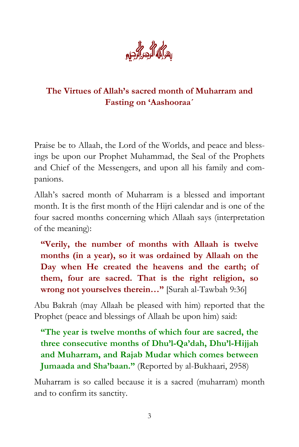

## **The Virtues of Allah's sacred month of Muharram and Fasting on 'Aashooraa´**

Praise be to Allaah, the Lord of the Worlds, and peace and blessings be upon our Prophet Muhammad, the Seal of the Prophets and Chief of the Messengers, and upon all his family and companions.

Allah's sacred month of Muharram is a blessed and important month. It is the first month of the Hijri calendar and is one of the four sacred months concerning which Allaah says (interpretation of the meaning):

**"Verily, the number of months with Allaah is twelve months (in a year), so it was ordained by Allaah on the Day when He created the heavens and the earth; of them, four are sacred. That is the right religion, so wrong not yourselves therein…"** [Surah al-Tawbah 9:36]

Abu Bakrah (may Allaah be pleased with him) reported that the Prophet (peace and blessings of Allaah be upon him) said:

**"The year is twelve months of which four are sacred, the three consecutive months of Dhu'l-Qa'dah, Dhu'l-Hijjah and Muharram, and Rajab Mudar which comes between Jumaada and Sha'baan."** (Reported by al-Bukhaari, 2958)

Muharram is so called because it is a sacred (muharram) month and to confirm its sanctity.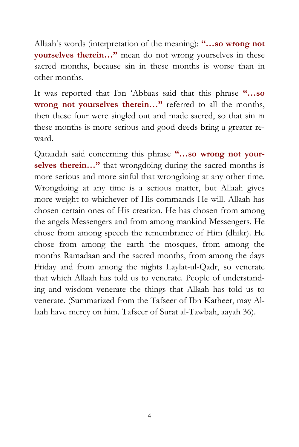Allaah's words (interpretation of the meaning): **"…so wrong not yourselves therein…"** mean do not wrong yourselves in these sacred months, because sin in these months is worse than in other months.

It was reported that Ibn 'Abbaas said that this phrase **"…so wrong not yourselves therein…"** referred to all the months, then these four were singled out and made sacred, so that sin in these months is more serious and good deeds bring a greater reward.

Qataadah said concerning this phrase **"…so wrong not yourselves therein…"** that wrongdoing during the sacred months is more serious and more sinful that wrongdoing at any other time. Wrongdoing at any time is a serious matter, but Allaah gives more weight to whichever of His commands He will. Allaah has chosen certain ones of His creation. He has chosen from among the angels Messengers and from among mankind Messengers. He chose from among speech the remembrance of Him (dhikr). He chose from among the earth the mosques, from among the months Ramadaan and the sacred months, from among the days Friday and from among the nights Laylat-ul-Qadr, so venerate that which Allaah has told us to venerate. People of understanding and wisdom venerate the things that Allaah has told us to venerate. (Summarized from the Tafseer of Ibn Katheer, may Allaah have mercy on him. Tafseer of Surat al-Tawbah, aayah 36).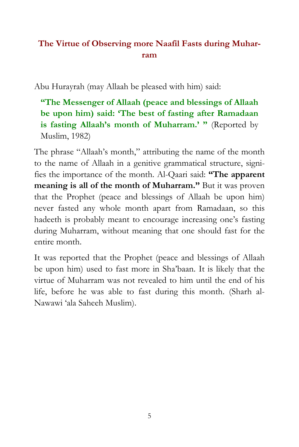# **The Virtue of Observing more Naafil Fasts during Muharram**

Abu Hurayrah (may Allaah be pleased with him) said:

**"The Messenger of Allaah (peace and blessings of Allaah be upon him) said: 'The best of fasting after Ramadaan**  is fasting Allaah's month of Muharram.' " (Reported by Muslim, 1982)

The phrase "Allaah's month," attributing the name of the month to the name of Allaah in a genitive grammatical structure, signifies the importance of the month. Al-Qaari said: **"The apparent meaning is all of the month of Muharram."** But it was proven that the Prophet (peace and blessings of Allaah be upon him) never fasted any whole month apart from Ramadaan, so this hadeeth is probably meant to encourage increasing one's fasting during Muharram, without meaning that one should fast for the entire month.

It was reported that the Prophet (peace and blessings of Allaah be upon him) used to fast more in Sha'baan. It is likely that the virtue of Muharram was not revealed to him until the end of his life, before he was able to fast during this month. (Sharh al-Nawawi 'ala Saheeh Muslim).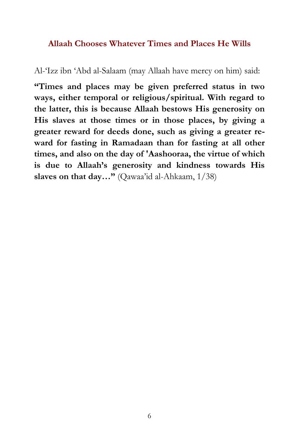#### **Allaah Chooses Whatever Times and Places He Wills**

Al-'Izz ibn 'Abd al-Salaam (may Allaah have mercy on him) said:

**"Times and places may be given preferred status in two ways, either temporal or religious/spiritual. With regard to the latter, this is because Allaah bestows His generosity on His slaves at those times or in those places, by giving a greater reward for deeds done, such as giving a greater reward for fasting in Ramadaan than for fasting at all other times, and also on the day of 'Aashooraa, the virtue of which is due to Allaah's generosity and kindness towards His slaves on that day…"** (Qawaa'id al-Ahkaam, 1/38)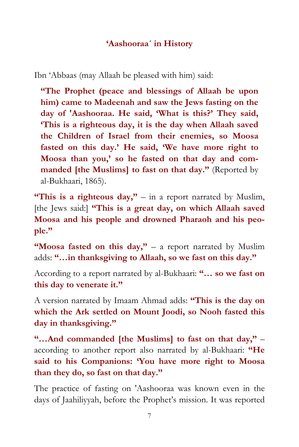#### **'Aashooraa´ in History**

Ibn 'Abbaas (may Allaah be pleased with him) said:

**"The Prophet (peace and blessings of Allaah be upon him) came to Madeenah and saw the Jews fasting on the day of 'Aashooraa. He said, 'What is this?' They said, 'This is a righteous day, it is the day when Allaah saved the Children of Israel from their enemies, so Moosa fasted on this day.' He said, 'We have more right to Moosa than you,' so he fasted on that day and commanded [the Muslims] to fast on that day."** (Reported by al-Bukhaari, 1865).

**"This is a righteous day,"** – in a report narrated by Muslim, [the Jews said:] **"This is a great day, on which Allaah saved Moosa and his people and drowned Pharaoh and his people."**

**"Moosa fasted on this day,"** – a report narrated by Muslim adds: **"…in thanksgiving to Allaah, so we fast on this day."**

According to a report narrated by al-Bukhaari: **"… so we fast on this day to venerate it."**

A version narrated by Imaam Ahmad adds: **"This is the day on which the Ark settled on Mount Joodi, so Nooh fasted this day in thanksgiving."** 

**"…And commanded [the Muslims] to fast on that day,"** – according to another report also narrated by al-Bukhaari: **"He said to his Companions: 'You have more right to Moosa than they do, so fast on that day."**

The practice of fasting on 'Aashooraa was known even in the days of Jaahiliyyah, before the Prophet's mission. It was reported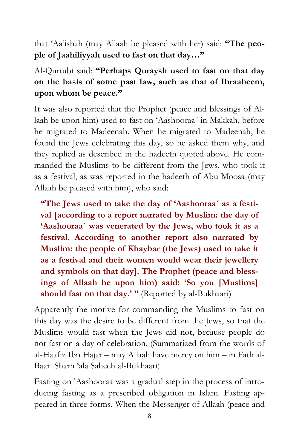that 'Aa'ishah (may Allaah be pleased with her) said: **"The people of Jaahiliyyah used to fast on that day…"** 

# Al-Qurtubi said: **"Perhaps Quraysh used to fast on that day on the basis of some past law, such as that of Ibraaheem, upon whom be peace."**

It was also reported that the Prophet (peace and blessings of Allaah be upon him) used to fast on 'Aashooraa´ in Makkah, before he migrated to Madeenah. When he migrated to Madeenah, he found the Jews celebrating this day, so he asked them why, and they replied as described in the hadeeth quoted above. He commanded the Muslims to be different from the Jews, who took it as a festival, as was reported in the hadeeth of Abu Moosa (may Allaah be pleased with him), who said:

**"The Jews used to take the day of 'Aashooraa´ as a festival [according to a report narrated by Muslim: the day of 'Aashooraa´ was venerated by the Jews, who took it as a festival. According to another report also narrated by Muslim: the people of Khaybar (the Jews) used to take it as a festival and their women would wear their jewellery and symbols on that day]. The Prophet (peace and blessings of Allaah be upon him) said: 'So you [Muslims] should fast on that day.' "** (Reported by al-Bukhaari)

Apparently the motive for commanding the Muslims to fast on this day was the desire to be different from the Jews, so that the Muslims would fast when the Jews did not, because people do not fast on a day of celebration. (Summarized from the words of al-Haafiz Ibn Hajar – may Allaah have mercy on him – in Fath al-Baari Sharh 'ala Saheeh al-Bukhaari).

Fasting on 'Aashooraa was a gradual step in the process of introducing fasting as a prescribed obligation in Islam. Fasting appeared in three forms. When the Messenger of Allaah (peace and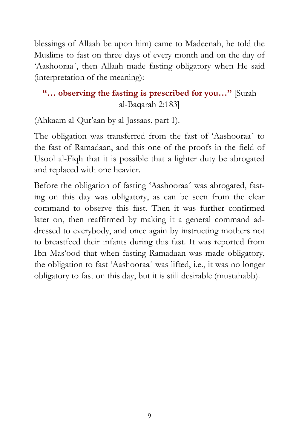blessings of Allaah be upon him) came to Madeenah, he told the Muslims to fast on three days of every month and on the day of 'Aashooraa´, then Allaah made fasting obligatory when He said (interpretation of the meaning):

# **"… observing the fasting is prescribed for you…"** [Surah al-Baqarah 2:183]

(Ahkaam al-Qur'aan by al-Jassaas, part 1).

The obligation was transferred from the fast of 'Aashooraa´ to the fast of Ramadaan, and this one of the proofs in the field of Usool al-Fiqh that it is possible that a lighter duty be abrogated and replaced with one heavier.

Before the obligation of fasting 'Aashooraa´ was abrogated, fasting on this day was obligatory, as can be seen from the clear command to observe this fast. Then it was further confirmed later on, then reaffirmed by making it a general command addressed to everybody, and once again by instructing mothers not to breastfeed their infants during this fast. It was reported from Ibn Mas'ood that when fasting Ramadaan was made obligatory, the obligation to fast 'Aashooraa´ was lifted, i.e., it was no longer obligatory to fast on this day, but it is still desirable (mustahabb).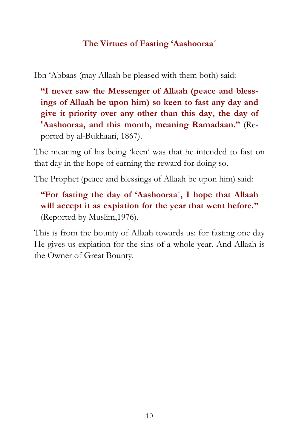#### **The Virtues of Fasting 'Aashooraa´**

Ibn 'Abbaas (may Allaah be pleased with them both) said:

**"I never saw the Messenger of Allaah (peace and blessings of Allaah be upon him) so keen to fast any day and give it priority over any other than this day, the day of 'Aashooraa, and this month, meaning Ramadaan."** (Reported by al-Bukhaari, 1867).

The meaning of his being 'keen' was that he intended to fast on that day in the hope of earning the reward for doing so.

The Prophet (peace and blessings of Allaah be upon him) said:

**"For fasting the day of 'Aashooraa´, I hope that Allaah will accept it as expiation for the year that went before."** (Reported by Muslim,1976).

This is from the bounty of Allaah towards us: for fasting one day He gives us expiation for the sins of a whole year. And Allaah is the Owner of Great Bounty.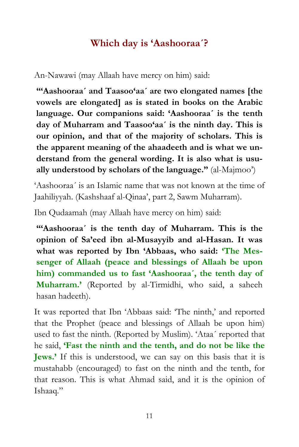# **Which day is 'Aashooraa´?**

An-Nawawi (may Allaah have mercy on him) said:

**"'Aashooraa´ and Taasoo'aa´ are two elongated names [the vowels are elongated] as is stated in books on the Arabic language. Our companions said: 'Aashooraa´ is the tenth day of Muharram and Taasoo'aa´ is the ninth day. This is our opinion, and that of the majority of scholars. This is the apparent meaning of the ahaadeeth and is what we understand from the general wording. It is also what is usually understood by scholars of the language."** (al-Majmoo')

'Aashooraa´ is an Islamic name that was not known at the time of Jaahiliyyah. (Kashshaaf al-Qinaa', part 2, Sawm Muharram).

Ibn Qudaamah (may Allaah have mercy on him) said:

**"'Aashooraa´ is the tenth day of Muharram. This is the opinion of Sa'eed ibn al-Musayyib and al-Hasan. It was what was reported by Ibn 'Abbaas, who said: 'The Messenger of Allaah (peace and blessings of Allaah be upon him) commanded us to fast 'Aashooraa´, the tenth day of Muharram.'** (Reported by al-Tirmidhi, who said, a saheeh hasan hadeeth).

It was reported that Ibn 'Abbaas said: 'The ninth,' and reported that the Prophet (peace and blessings of Allaah be upon him) used to fast the ninth. (Reported by Muslim). 'Ataa´ reported that he said, **'Fast the ninth and the tenth, and do not be like the Jews.'** If this is understood, we can say on this basis that it is mustahabb (encouraged) to fast on the ninth and the tenth, for that reason. This is what Ahmad said, and it is the opinion of Ishaaq."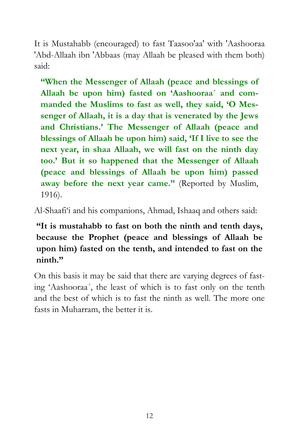It is Mustahabb (encouraged) to fast Taasoo'aa' with 'Aashooraa 'Abd-Allaah ibn 'Abbaas (may Allaah be pleased with them both) said:

**"When the Messenger of Allaah (peace and blessings of Allaah be upon him) fasted on 'Aashooraa´ and commanded the Muslims to fast as well, they said, 'O Messenger of Allaah, it is a day that is venerated by the Jews and Christians.' The Messenger of Allaah (peace and blessings of Allaah be upon him) said, 'If I live to see the next year, in shaa Allaah, we will fast on the ninth day too.' But it so happened that the Messenger of Allaah (peace and blessings of Allaah be upon him) passed away before the next year came."** (Reported by Muslim, 1916).

Al-Shaafi'i and his companions, Ahmad, Ishaaq and others said:

**"It is mustahabb to fast on both the ninth and tenth days, because the Prophet (peace and blessings of Allaah be upon him) fasted on the tenth, and intended to fast on the ninth."** 

On this basis it may be said that there are varying degrees of fasting 'Aashooraa´, the least of which is to fast only on the tenth and the best of which is to fast the ninth as well. The more one fasts in Muharram, the better it is.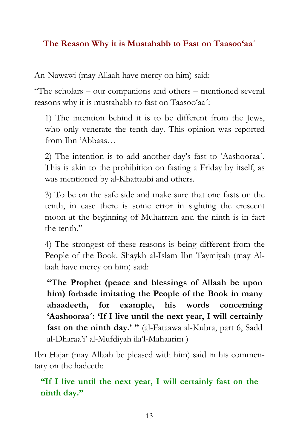#### **The Reason Why it is Mustahabb to Fast on Taasoo'aa´**

An-Nawawi (may Allaah have mercy on him) said:

"The scholars – our companions and others – mentioned several reasons why it is mustahabb to fast on Taasoo'aa´:

1) The intention behind it is to be different from the Jews, who only venerate the tenth day. This opinion was reported from Ibn 'Abbaas…

2) The intention is to add another day's fast to 'Aashooraa´. This is akin to the prohibition on fasting a Friday by itself, as was mentioned by al-Khattaabi and others.

3) To be on the safe side and make sure that one fasts on the tenth, in case there is some error in sighting the crescent moon at the beginning of Muharram and the ninth is in fact the tenth."

4) The strongest of these reasons is being different from the People of the Book. Shaykh al-Islam Ibn Taymiyah (may Allaah have mercy on him) said:

**"The Prophet (peace and blessings of Allaah be upon him) forbade imitating the People of the Book in many ahaadeeth, for example, his words concerning 'Aashooraa´: 'If I live until the next year, I will certainly fast on the ninth day.' "** (al-Fataawa al-Kubra, part 6, Sadd al-Dharaa'i' al-Mufdiyah ila'l-Mahaarim )

Ibn Hajar (may Allaah be pleased with him) said in his commentary on the hadeeth:

**"If I live until the next year, I will certainly fast on the ninth day."**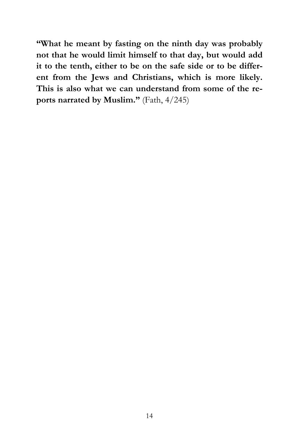**"What he meant by fasting on the ninth day was probably not that he would limit himself to that day, but would add it to the tenth, either to be on the safe side or to be different from the Jews and Christians, which is more likely. This is also what we can understand from some of the reports narrated by Muslim."** (Fath, 4/245)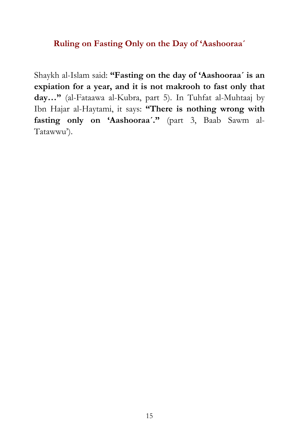#### **Ruling on Fasting Only on the Day of 'Aashooraa´**

Shaykh al-Islam said: **"Fasting on the day of 'Aashooraa´ is an expiation for a year, and it is not makrooh to fast only that day…"** (al-Fataawa al-Kubra, part 5). In Tuhfat al-Muhtaaj by Ibn Hajar al-Haytami, it says: **"There is nothing wrong with fasting only on 'Aashooraa´."** (part 3, Baab Sawm al-Tatawwu').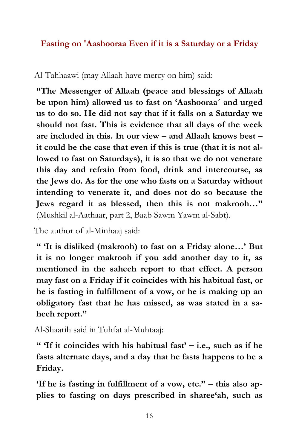#### **Fasting on 'Aashooraa Even if it is a Saturday or a Friday**

#### Al-Tahhaawi (may Allaah have mercy on him) said:

**"The Messenger of Allaah (peace and blessings of Allaah be upon him) allowed us to fast on 'Aashooraa´ and urged us to do so. He did not say that if it falls on a Saturday we should not fast. This is evidence that all days of the week are included in this. In our view – and Allaah knows best – it could be the case that even if this is true (that it is not allowed to fast on Saturdays), it is so that we do not venerate this day and refrain from food, drink and intercourse, as the Jews do. As for the one who fasts on a Saturday without intending to venerate it, and does not do so because the Jews regard it as blessed, then this is not makrooh…"** (Mushkil al-Aathaar, part 2, Baab Sawm Yawm al-Sabt).

The author of al-Minhaaj said:

**" 'It is disliked (makrooh) to fast on a Friday alone…' But it is no longer makrooh if you add another day to it, as mentioned in the saheeh report to that effect. A person may fast on a Friday if it coincides with his habitual fast, or he is fasting in fulfillment of a vow, or he is making up an obligatory fast that he has missed, as was stated in a saheeh report."** 

Al-Shaarih said in Tuhfat al-Muhtaaj:

**" 'If it coincides with his habitual fast' – i.e., such as if he fasts alternate days, and a day that he fasts happens to be a Friday.** 

**'If he is fasting in fulfillment of a vow, etc." – this also applies to fasting on days prescribed in sharee'ah, such as**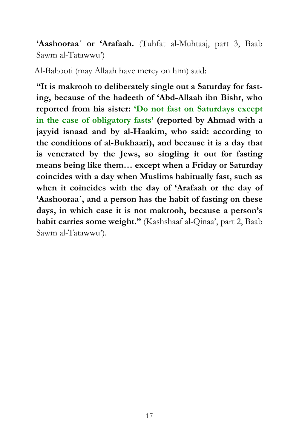**'Aashooraa´ or 'Arafaah.** (Tuhfat al-Muhtaaj, part 3, Baab Sawm al-Tatawwu')

Al-Bahooti (may Allaah have mercy on him) said:

**"It is makrooh to deliberately single out a Saturday for fasting, because of the hadeeth of 'Abd-Allaah ibn Bishr, who reported from his sister: 'Do not fast on Saturdays except in the case of obligatory fasts' (reported by Ahmad with a jayyid isnaad and by al-Haakim, who said: according to the conditions of al-Bukhaari), and because it is a day that is venerated by the Jews, so singling it out for fasting means being like them… except when a Friday or Saturday coincides with a day when Muslims habitually fast, such as when it coincides with the day of 'Arafaah or the day of 'Aashooraa´, and a person has the habit of fasting on these days, in which case it is not makrooh, because a person's habit carries some weight."** (Kashshaaf al-Qinaa', part 2, Baab Sawm al-Tatawwu').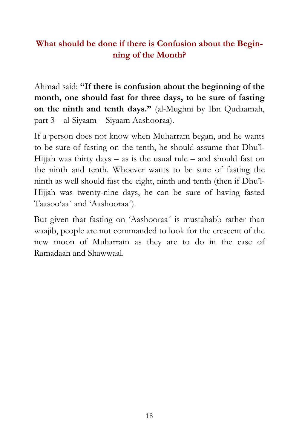## **What should be done if there is Confusion about the Beginning of the Month?**

Ahmad said: **"If there is confusion about the beginning of the month, one should fast for three days, to be sure of fasting on the ninth and tenth days."** (al-Mughni by Ibn Qudaamah, part 3 – al-Siyaam – Siyaam Aashooraa).

If a person does not know when Muharram began, and he wants to be sure of fasting on the tenth, he should assume that Dhu'l-Hijjah was thirty days  $-$  as is the usual rule  $-$  and should fast on the ninth and tenth. Whoever wants to be sure of fasting the ninth as well should fast the eight, ninth and tenth (then if Dhu'l-Hijjah was twenty-nine days, he can be sure of having fasted Taasoo'aa´ and 'Aashooraa´).

But given that fasting on 'Aashooraa´ is mustahabb rather than waajib, people are not commanded to look for the crescent of the new moon of Muharram as they are to do in the case of Ramadaan and Shawwaal.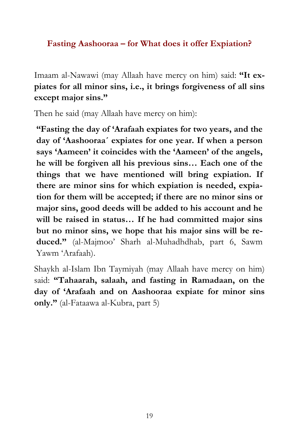#### **Fasting Aashooraa – for What does it offer Expiation?**

Imaam al-Nawawi (may Allaah have mercy on him) said: **"It expiates for all minor sins, i.e., it brings forgiveness of all sins except major sins."** 

Then he said (may Allaah have mercy on him):

**"Fasting the day of 'Arafaah expiates for two years, and the day of 'Aashooraa´ expiates for one year. If when a person says 'Aameen' it coincides with the 'Aameen' of the angels, he will be forgiven all his previous sins… Each one of the things that we have mentioned will bring expiation. If there are minor sins for which expiation is needed, expiation for them will be accepted; if there are no minor sins or major sins, good deeds will be added to his account and he will be raised in status… If he had committed major sins but no minor sins, we hope that his major sins will be reduced."** (al-Majmoo' Sharh al-Muhadhdhab, part 6, Sawm Yawm 'Arafaah).

Shaykh al-Islam Ibn Taymiyah (may Allaah have mercy on him) said: **"Tahaarah, salaah, and fasting in Ramadaan, on the day of 'Arafaah and on Aashooraa expiate for minor sins only."** (al-Fataawa al-Kubra, part 5)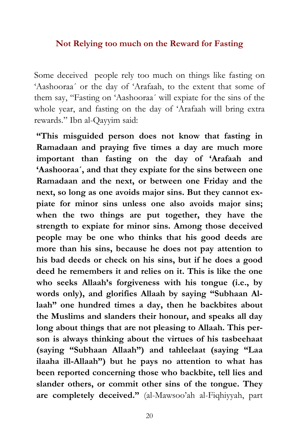#### **Not Relying too much on the Reward for Fasting**

Some deceived people rely too much on things like fasting on 'Aashooraa´ or the day of 'Arafaah, to the extent that some of them say, "Fasting on 'Aashooraa´ will expiate for the sins of the whole year, and fasting on the day of 'Arafaah will bring extra rewards." Ibn al-Qayyim said:

**"This misguided person does not know that fasting in Ramadaan and praying five times a day are much more important than fasting on the day of 'Arafaah and 'Aashooraa´, and that they expiate for the sins between one Ramadaan and the next, or between one Friday and the next, so long as one avoids major sins. But they cannot expiate for minor sins unless one also avoids major sins; when the two things are put together, they have the strength to expiate for minor sins. Among those deceived people may be one who thinks that his good deeds are more than his sins, because he does not pay attention to his bad deeds or check on his sins, but if he does a good deed he remembers it and relies on it. This is like the one who seeks Allaah's forgiveness with his tongue (i.e., by words only), and glorifies Allaah by saying "Subhaan Allaah" one hundred times a day, then he backbites about the Muslims and slanders their honour, and speaks all day long about things that are not pleasing to Allaah. This person is always thinking about the virtues of his tasbeehaat (saying "Subhaan Allaah") and tahleelaat (saying "Laa ilaaha ill-Allaah") but he pays no attention to what has been reported concerning those who backbite, tell lies and slander others, or commit other sins of the tongue. They are completely deceived."** (al-Mawsoo'ah al-Fiqhiyyah, part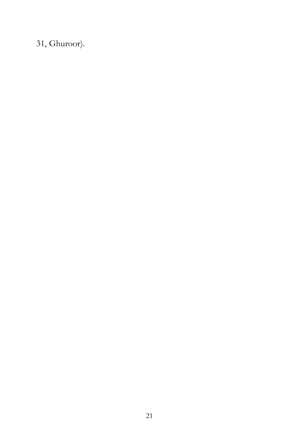31, Ghuroor).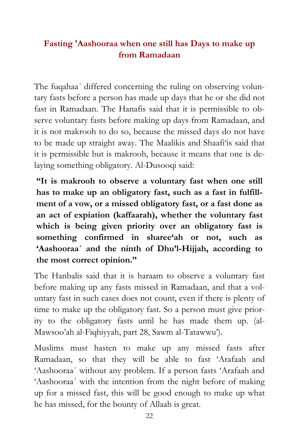## **Fasting 'Aashooraa when one still has Days to make up from Ramadaan**

The fuqahaa´ differed concerning the ruling on observing voluntary fasts before a person has made up days that he or she did not fast in Ramadaan. The Hanafis said that it is permissible to observe voluntary fasts before making up days from Ramadaan, and it is not makrooh to do so, because the missed days do not have to be made up straight away. The Maalikis and Shaafi'is said that it is permissible but is makrooh, because it means that one is delaying something obligatory. Al-Dusooqi said:

**"It is makrooh to observe a voluntary fast when one still has to make up an obligatory fast, such as a fast in fulfillment of a vow, or a missed obligatory fast, or a fast done as an act of expiation (kaffaarah), whether the voluntary fast which is being given priority over an obligatory fast is something confirmed in sharee'ah or not, such as 'Aashooraa´ and the ninth of Dhu'l-Hijjah, according to the most correct opinion."**

The Hanbalis said that it is haraam to observe a voluntary fast before making up any fasts missed in Ramadaan, and that a voluntary fast in such cases does not count, even if there is plenty of time to make up the obligatory fast. So a person must give priority to the obligatory fasts until he has made them up. (al-Mawsoo'ah al-Fiqhiyyah, part 28, Sawm al-Tatawwu').

Muslims must hasten to make up any missed fasts after Ramadaan, so that they will be able to fast 'Arafaah and 'Aashooraa´ without any problem. If a person fasts 'Arafaah and 'Aashooraa´ with the intention from the night before of making up for a missed fast, this will be good enough to make up what he has missed, for the bounty of Allaah is great.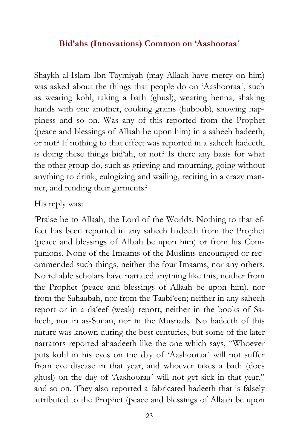#### **Bid'ahs (Innovations) Common on 'Aashooraa´**

Shaykh al-Islam Ibn Taymiyah (may Allaah have mercy on him) was asked about the things that people do on 'Aashooraa´, such as wearing kohl, taking a bath (ghusl), wearing henna, shaking hands with one another, cooking grains (huboob), showing happiness and so on. Was any of this reported from the Prophet (peace and blessings of Allaah be upon him) in a saheeh hadeeth, or not? If nothing to that effect was reported in a saheeh hadeeth, is doing these things bid'ah, or not? Is there any basis for what the other group do, such as grieving and mourning, going without anything to drink, eulogizing and wailing, reciting in a crazy manner, and rending their garments?

#### His reply was:

'Praise be to Allaah, the Lord of the Worlds. Nothing to that effect has been reported in any saheeh hadeeth from the Prophet (peace and blessings of Allaah be upon him) or from his Companions. None of the Imaams of the Muslims encouraged or recommended such things, neither the four Imaams, nor any others. No reliable scholars have narrated anything like this, neither from the Prophet (peace and blessings of Allaah be upon him), nor from the Sahaabah, nor from the Taabi'een; neither in any saheeh report or in a da'eef (weak) report; neither in the books of Saheeh, nor in as-Sunan, nor in the Musnads. No hadeeth of this nature was known during the best centuries, but some of the later narrators reported ahaadeeth like the one which says, "Whoever puts kohl in his eyes on the day of 'Aashooraa´ will not suffer from eye disease in that year, and whoever takes a bath (does ghusl) on the day of 'Aashooraa´ will not get sick in that year," and so on. They also reported a fabricated hadeeth that is falsely attributed to the Prophet (peace and blessings of Allaah be upon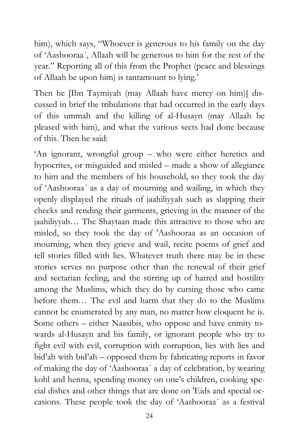him), which says, "Whoever is generous to his family on the day of 'Aashooraa´, Allaah will be generous to him for the rest of the year." Reporting all of this from the Prophet (peace and blessings of Allaah be upon him) is tantamount to lying.'

Then he [Ibn Taymiyah (may Allaah have mercy on him)] discussed in brief the tribulations that had occurred in the early days of this ummah and the killing of al-Husayn (may Allaah be pleased with him), and what the various sects had done because of this. Then he said:

'An ignorant, wrongful group – who were either heretics and hypocrites, or misguided and misled – made a show of allegiance to him and the members of his household, so they took the day of 'Aashooraa´ as a day of mourning and wailing, in which they openly displayed the rituals of jaahiliyyah such as slapping their cheeks and rending their garments, grieving in the manner of the jaahiliyyah… The Shaytaan made this attractive to those who are misled, so they took the day of 'Aashooraa as an occasion of mourning, when they grieve and wail, recite poems of grief and tell stories filled with lies. Whatever truth there may be in these stories serves no purpose other than the renewal of their grief and sectarian feeling, and the stirring up of hatred and hostility among the Muslims, which they do by cursing those who came before them… The evil and harm that they do to the Muslims cannot be enumerated by any man, no matter how eloquent he is. Some others – either Naasibis, who oppose and have enmity towards al-Husayn and his family, or ignorant people who try to fight evil with evil, corruption with corruption, lies with lies and bid'ah with bid'ah – opposed them by fabricating reports in favor of making the day of 'Aashooraa´ a day of celebration, by wearing kohl and henna, spending money on one's children, cooking special dishes and other things that are done on 'Eids and special occasions. These people took the day of 'Aashooraa´ as a festival